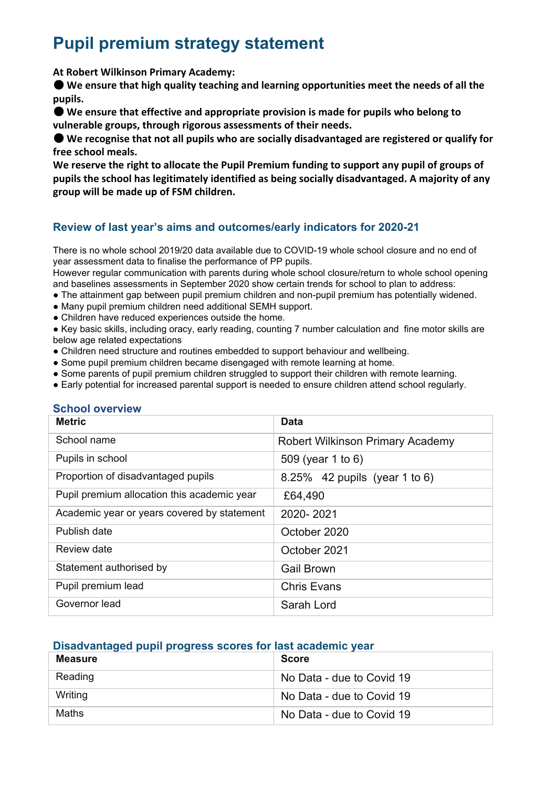# **Pupil premium strategy statement**

**At Robert Wilkinson Primary Academy:**

● **We ensure that high quality teaching and learning opportunities meet the needs of all the pupils.**

● **We ensure that effective and appropriate provision is made for pupils who belong to vulnerable groups, through rigorous assessments of their needs.**

● We recognise that not all pupils who are socially disadvantaged are registered or qualify for **free school meals.**

**We reserve the right to allocate the Pupil Premium funding to support any pupil of groups of pupils the school has legitimately identified as being socially disadvantaged. A majority of any group will be made up of FSM children.**

#### **Review of last year's aims and outcomes/early indicators for 2020-21**

There is no whole school 2019/20 data available due to COVID-19 whole school closure and no end of year assessment data to finalise the performance of PP pupils.

However regular communication with parents during whole school closure/return to whole school opening and baselines assessments in September 2020 show certain trends for school to plan to address:

- The attainment gap between pupil premium children and non-pupil premium has potentially widened.
- Many pupil premium children need additional SEMH support.
- Children have reduced experiences outside the home.

● Key basic skills, including oracy, early reading, counting 7 number calculation and fine motor skills are below age related expectations

- Children need structure and routines embedded to support behaviour and wellbeing.
- Some pupil premium children became disengaged with remote learning at home.
- Some parents of pupil premium children struggled to support their children with remote learning.
- Early potential for increased parental support is needed to ensure children attend school regularly.

| <b>Metric</b>                               | <b>Data</b>                             |
|---------------------------------------------|-----------------------------------------|
| School name                                 | <b>Robert Wilkinson Primary Academy</b> |
| Pupils in school                            | 509 (year 1 to 6)                       |
| Proportion of disadvantaged pupils          | 8.25% 42 pupils (year 1 to 6)           |
| Pupil premium allocation this academic year | £64,490                                 |
| Academic year or years covered by statement | 2020-2021                               |
| Publish date                                | October 2020                            |
| Review date                                 | October 2021                            |
| Statement authorised by                     | <b>Gail Brown</b>                       |
| Pupil premium lead                          | <b>Chris Evans</b>                      |
| Governor lead                               | Sarah Lord                              |

#### **School overview**

#### **Disadvantaged pupil progress scores for last academic year**

| Measure | <b>Score</b>              |
|---------|---------------------------|
| Reading | No Data - due to Covid 19 |
| Writing | No Data - due to Covid 19 |
| Maths   | No Data - due to Covid 19 |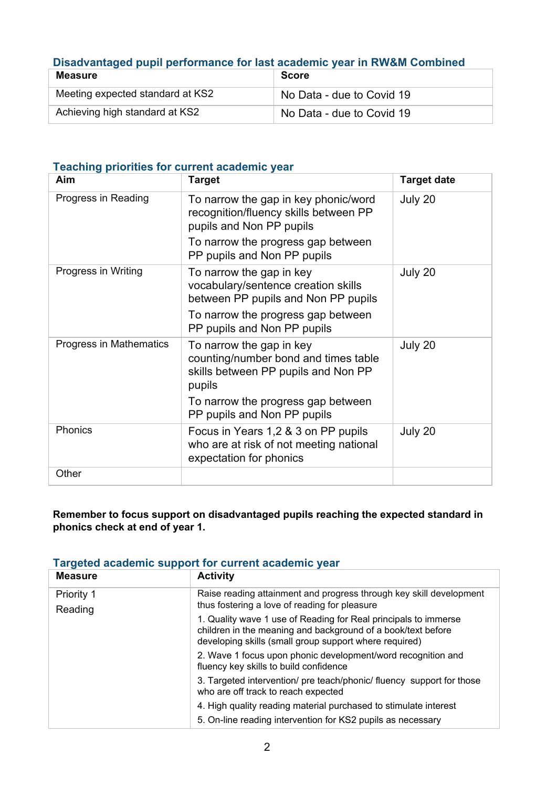#### **Disadvantaged pupil performance for last academic year in RW&M Combined**

| Measure                          | <b>Score</b>              |
|----------------------------------|---------------------------|
| Meeting expected standard at KS2 | No Data - due to Covid 19 |
| Achieving high standard at KS2   | No Data - due to Covid 19 |

#### **Teaching priorities for current academic year**

| Aim                     | <b>Target</b>                                                                                                     | <b>Target date</b> |
|-------------------------|-------------------------------------------------------------------------------------------------------------------|--------------------|
| Progress in Reading     | To narrow the gap in key phonic/word<br>recognition/fluency skills between PP<br>pupils and Non PP pupils         | July 20            |
|                         | To narrow the progress gap between<br>PP pupils and Non PP pupils                                                 |                    |
| Progress in Writing     | To narrow the gap in key<br>vocabulary/sentence creation skills<br>between PP pupils and Non PP pupils            | July 20            |
|                         | To narrow the progress gap between<br>PP pupils and Non PP pupils                                                 |                    |
| Progress in Mathematics | To narrow the gap in key<br>counting/number bond and times table<br>skills between PP pupils and Non PP<br>pupils | July 20            |
|                         | To narrow the progress gap between<br>PP pupils and Non PP pupils                                                 |                    |
| <b>Phonics</b>          | Focus in Years 1,2 & 3 on PP pupils<br>who are at risk of not meeting national<br>expectation for phonics         | July 20            |
| Other                   |                                                                                                                   |                    |

#### **Remember to focus support on disadvantaged pupils reaching the expected standard in phonics check at end of year 1.**

#### **Targeted academic support for current academic year**

| <b>Measure</b> | <b>Activity</b>                                                                                                                                                                           |
|----------------|-------------------------------------------------------------------------------------------------------------------------------------------------------------------------------------------|
| Priority 1     | Raise reading attainment and progress through key skill development<br>thus fostering a love of reading for pleasure                                                                      |
| Reading        | 1. Quality wave 1 use of Reading for Real principals to immerse<br>children in the meaning and background of a book/text before<br>developing skills (small group support where required) |
|                | 2. Wave 1 focus upon phonic development/word recognition and<br>fluency key skills to build confidence                                                                                    |
|                | 3. Targeted intervention/ pre teach/phonic/ fluency support for those<br>who are off track to reach expected                                                                              |
|                | 4. High quality reading material purchased to stimulate interest                                                                                                                          |
|                | 5. On-line reading intervention for KS2 pupils as necessary                                                                                                                               |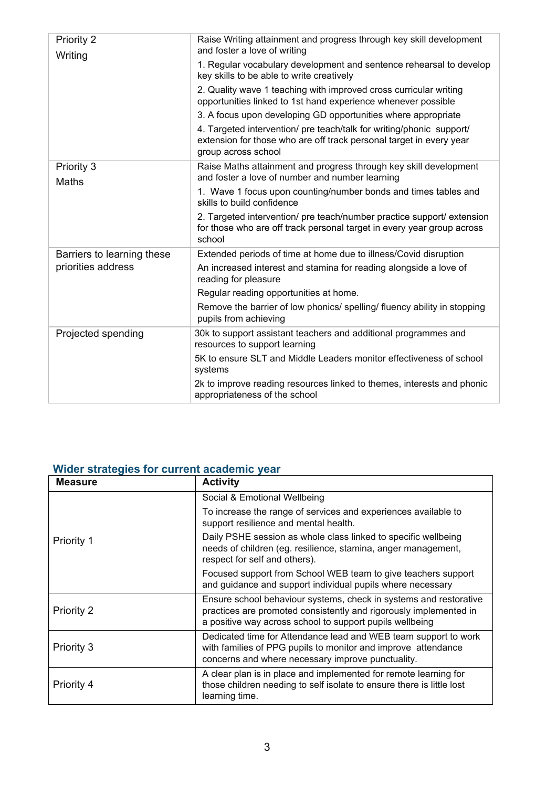| Priority 2<br>Writing      | Raise Writing attainment and progress through key skill development<br>and foster a love of writing                                                                |
|----------------------------|--------------------------------------------------------------------------------------------------------------------------------------------------------------------|
|                            | 1. Regular vocabulary development and sentence rehearsal to develop<br>key skills to be able to write creatively                                                   |
|                            | 2. Quality wave 1 teaching with improved cross curricular writing<br>opportunities linked to 1st hand experience whenever possible                                 |
|                            | 3. A focus upon developing GD opportunities where appropriate                                                                                                      |
|                            | 4. Targeted intervention/ pre teach/talk for writing/phonic support/<br>extension for those who are off track personal target in every year<br>group across school |
| Priority 3<br><b>Maths</b> | Raise Maths attainment and progress through key skill development<br>and foster a love of number and number learning                                               |
|                            | 1. Wave 1 focus upon counting/number bonds and times tables and<br>skills to build confidence                                                                      |
|                            | 2. Targeted intervention/ pre teach/number practice support/ extension<br>for those who are off track personal target in every year group across<br>school         |
| Barriers to learning these | Extended periods of time at home due to illness/Covid disruption                                                                                                   |
| priorities address         | An increased interest and stamina for reading alongside a love of<br>reading for pleasure                                                                          |
|                            | Regular reading opportunities at home.                                                                                                                             |
|                            | Remove the barrier of low phonics/ spelling/ fluency ability in stopping<br>pupils from achieving                                                                  |
| Projected spending         | 30k to support assistant teachers and additional programmes and<br>resources to support learning                                                                   |
|                            | 5K to ensure SLT and Middle Leaders monitor effectiveness of school<br>systems                                                                                     |
|                            | 2k to improve reading resources linked to themes, interests and phonic<br>appropriateness of the school                                                            |

## **Wider strategies for current academic year**

| <b>Measure</b>    | <b>Activity</b>                                                                                                                                                                                    |  |
|-------------------|----------------------------------------------------------------------------------------------------------------------------------------------------------------------------------------------------|--|
| <b>Priority 1</b> | Social & Emotional Wellbeing                                                                                                                                                                       |  |
|                   | To increase the range of services and experiences available to<br>support resilience and mental health.                                                                                            |  |
|                   | Daily PSHE session as whole class linked to specific wellbeing<br>needs of children (eg. resilience, stamina, anger management,<br>respect for self and others).                                   |  |
|                   | Focused support from School WEB team to give teachers support<br>and guidance and support individual pupils where necessary                                                                        |  |
| Priority 2        | Ensure school behaviour systems, check in systems and restorative<br>practices are promoted consistently and rigorously implemented in<br>a positive way across school to support pupils wellbeing |  |
| Priority 3        | Dedicated time for Attendance lead and WEB team support to work<br>with families of PPG pupils to monitor and improve attendance<br>concerns and where necessary improve punctuality.              |  |
| Priority 4        | A clear plan is in place and implemented for remote learning for<br>those children needing to self isolate to ensure there is little lost<br>learning time.                                        |  |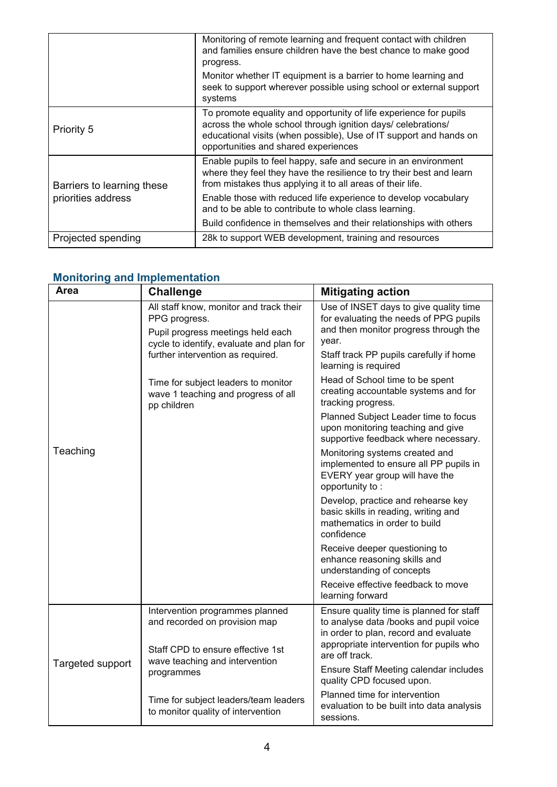|                            | Monitoring of remote learning and frequent contact with children<br>and families ensure children have the best chance to make good<br>progress.                                                                                                 |  |
|----------------------------|-------------------------------------------------------------------------------------------------------------------------------------------------------------------------------------------------------------------------------------------------|--|
|                            | Monitor whether IT equipment is a barrier to home learning and<br>seek to support wherever possible using school or external support<br>systems                                                                                                 |  |
| Priority 5                 | To promote equality and opportunity of life experience for pupils<br>across the whole school through ignition days/ celebrations/<br>educational visits (when possible), Use of IT support and hands on<br>opportunities and shared experiences |  |
| Barriers to learning these | Enable pupils to feel happy, safe and secure in an environment<br>where they feel they have the resilience to try their best and learn<br>from mistakes thus applying it to all areas of their life.                                            |  |
| priorities address         | Enable those with reduced life experience to develop vocabulary<br>and to be able to contribute to whole class learning.                                                                                                                        |  |
|                            | Build confidence in themselves and their relationships with others                                                                                                                                                                              |  |
| Projected spending         | 28k to support WEB development, training and resources                                                                                                                                                                                          |  |

### **Monitoring and Implementation**

| <b>Area</b>      | <b>Challenge</b>                                                                                                                                                               | <b>Mitigating action</b>                                                                                                                                                                              |
|------------------|--------------------------------------------------------------------------------------------------------------------------------------------------------------------------------|-------------------------------------------------------------------------------------------------------------------------------------------------------------------------------------------------------|
| Teaching         | All staff know, monitor and track their<br>PPG progress.<br>Pupil progress meetings held each<br>cycle to identify, evaluate and plan for<br>further intervention as required. | Use of INSET days to give quality time<br>for evaluating the needs of PPG pupils<br>and then monitor progress through the<br>year.<br>Staff track PP pupils carefully if home<br>learning is required |
|                  | Time for subject leaders to monitor<br>wave 1 teaching and progress of all<br>pp children                                                                                      | Head of School time to be spent<br>creating accountable systems and for<br>tracking progress.                                                                                                         |
|                  |                                                                                                                                                                                | Planned Subject Leader time to focus<br>upon monitoring teaching and give<br>supportive feedback where necessary.                                                                                     |
|                  |                                                                                                                                                                                | Monitoring systems created and<br>implemented to ensure all PP pupils in<br>EVERY year group will have the<br>opportunity to:                                                                         |
|                  |                                                                                                                                                                                | Develop, practice and rehearse key<br>basic skills in reading, writing and<br>mathematics in order to build<br>confidence                                                                             |
|                  |                                                                                                                                                                                | Receive deeper questioning to<br>enhance reasoning skills and<br>understanding of concepts                                                                                                            |
|                  |                                                                                                                                                                                | Receive effective feedback to move<br>learning forward                                                                                                                                                |
|                  | Intervention programmes planned<br>and recorded on provision map                                                                                                               | Ensure quality time is planned for staff<br>to analyse data /books and pupil voice<br>in order to plan, record and evaluate<br>appropriate intervention for pupils who                                |
| Targeted support | Staff CPD to ensure effective 1st<br>wave teaching and intervention                                                                                                            | are off track.<br>Ensure Staff Meeting calendar includes                                                                                                                                              |
|                  | programmes                                                                                                                                                                     | quality CPD focused upon.                                                                                                                                                                             |
|                  | Time for subject leaders/team leaders<br>to monitor quality of intervention                                                                                                    | Planned time for intervention<br>evaluation to be built into data analysis<br>sessions.                                                                                                               |